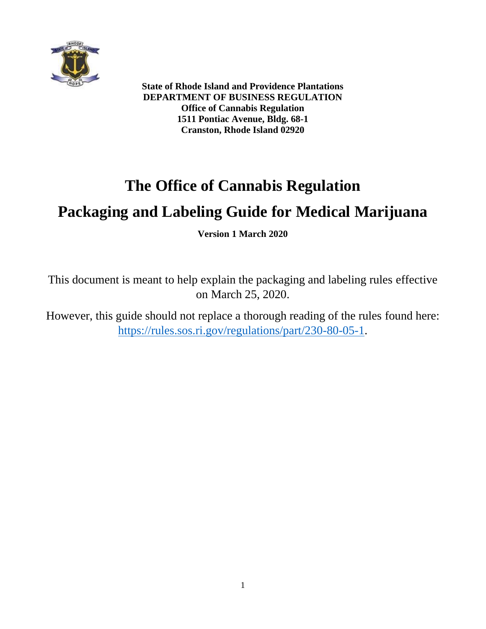

**State of Rhode Island and Providence Plantations DEPARTMENT OF BUSINESS REGULATION Office of Cannabis Regulation 1511 Pontiac Avenue, Bldg. 68-1 Cranston, Rhode Island 02920**

# **The Office of Cannabis Regulation**

# **Packaging and Labeling Guide for Medical Marijuana**

**Version 1 March 2020**

This document is meant to help explain the packaging and labeling rules effective on March 25, 2020.

However, this guide should not replace a thorough reading of the rules found here: [https://rules.sos.ri.gov/regulations/part/230-80-05-1.](https://rules.sos.ri.gov/regulations/part/230-80-05-1)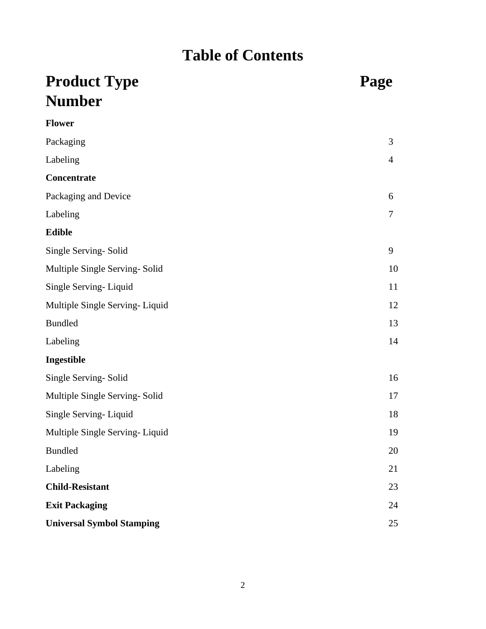# **Table of Contents**

# **Product Type**  Page **Number Flower**

| Packaging                        | 3              |
|----------------------------------|----------------|
| Labeling                         | $\overline{4}$ |
| Concentrate                      |                |
| Packaging and Device             | 6              |
| Labeling                         | $\tau$         |
| <b>Edible</b>                    |                |
| Single Serving-Solid             | 9              |
| Multiple Single Serving-Solid    | 10             |
| Single Serving-Liquid            | 11             |
| Multiple Single Serving-Liquid   | 12             |
| <b>Bundled</b>                   | 13             |
| Labeling                         | 14             |
| Ingestible                       |                |
| Single Serving-Solid             | 16             |
| Multiple Single Serving-Solid    | 17             |
| Single Serving-Liquid            | 18             |
| Multiple Single Serving-Liquid   | 19             |
| <b>Bundled</b>                   | 20             |
| Labeling                         | 21             |
| <b>Child-Resistant</b>           | 23             |
| <b>Exit Packaging</b>            | 24             |
| <b>Universal Symbol Stamping</b> | 25             |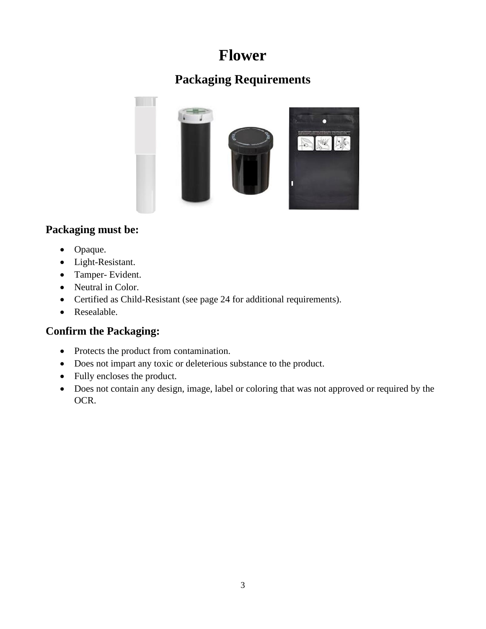## **Flower**

### **Packaging Requirements**



#### **Packaging must be:**

- Opaque.
- Light-Resistant.
- Tamper- Evident.
- Neutral in Color.
- Certified as Child-Resistant (see page 24 for additional requirements).
- Resealable.

- Protects the product from contamination.
- Does not impart any toxic or deleterious substance to the product.
- Fully encloses the product.
- Does not contain any design, image, label or coloring that was not approved or required by the OCR.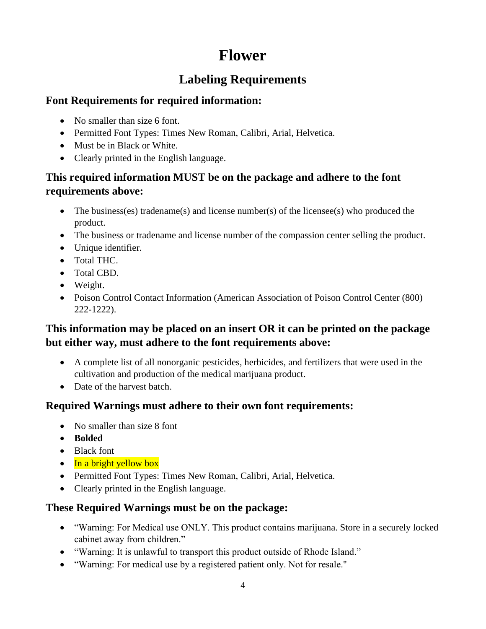## **Flower**

### **Labeling Requirements**

#### **Font Requirements for required information:**

- No smaller than size 6 font.
- Permitted Font Types: Times New Roman, Calibri, Arial, Helvetica.
- Must be in Black or White.
- Clearly printed in the English language.

#### **This required information MUST be on the package and adhere to the font requirements above:**

- The business(es) tradename(s) and license number(s) of the licensee(s) who produced the product.
- The business or tradename and license number of the compassion center selling the product.
- Unique identifier.
- Total THC.
- Total CBD.
- Weight.
- Poison Control Contact Information (American Association of Poison Control Center (800) 222-1222).

#### **This information may be placed on an insert OR it can be printed on the package but either way, must adhere to the font requirements above:**

- A complete list of all nonorganic pesticides, herbicides, and fertilizers that were used in the cultivation and production of the medical marijuana product.
- Date of the harvest batch.

#### **Required Warnings must adhere to their own font requirements:**

- No smaller than size 8 font
- **Bolded**
- Black font
- $\bullet$  In a bright yellow box
- Permitted Font Types: Times New Roman, Calibri, Arial, Helvetica.
- Clearly printed in the English language.

#### **These Required Warnings must be on the package:**

- "Warning: For Medical use ONLY. This product contains marijuana. Store in a securely locked cabinet away from children."
- "Warning: It is unlawful to transport this product outside of Rhode Island."
- "Warning: For medical use by a registered patient only. Not for resale."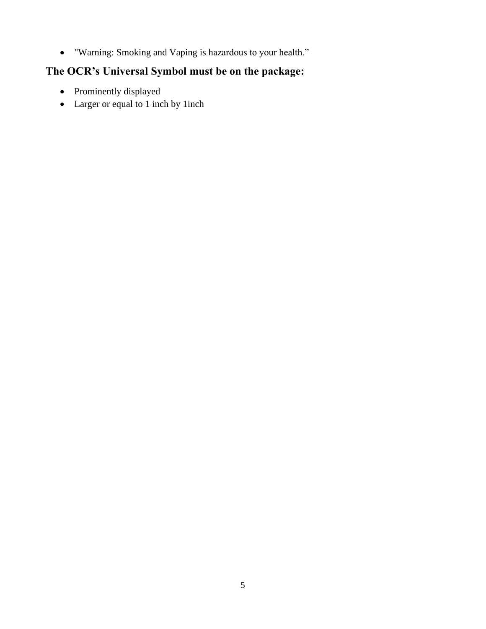• "Warning: Smoking and Vaping is hazardous to your health."

#### **The OCR's Universal Symbol must be on the package:**

- Prominently displayed
- Larger or equal to 1 inch by 1 inch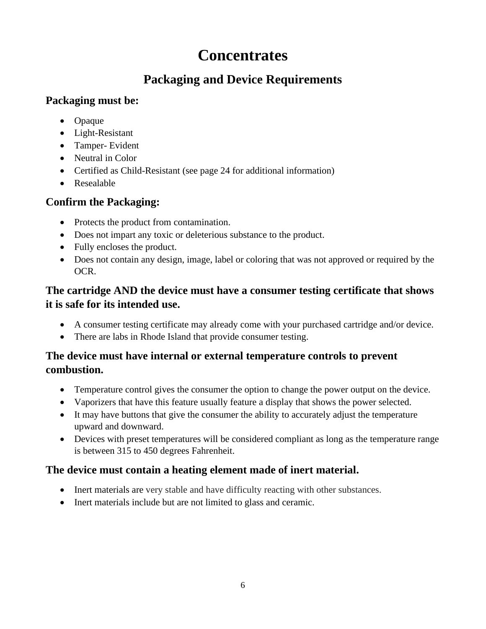## **Concentrates**

### **Packaging and Device Requirements**

#### **Packaging must be:**

- Opaque
- Light-Resistant
- Tamper- Evident
- Neutral in Color
- Certified as Child-Resistant (see page 24 for additional information)
- Resealable

### **Confirm the Packaging:**

- Protects the product from contamination.
- Does not impart any toxic or deleterious substance to the product.
- Fully encloses the product.
- Does not contain any design, image, label or coloring that was not approved or required by the OCR.

### **The cartridge AND the device must have a consumer testing certificate that shows it is safe for its intended use.**

- A consumer testing certificate may already come with your purchased cartridge and/or device.
- There are labs in Rhode Island that provide consumer testing.

### **The device must have internal or external temperature controls to prevent combustion.**

- Temperature control gives the consumer the option to change the power output on the device.
- Vaporizers that have this feature usually feature a display that shows the power selected.
- It may have buttons that give the consumer the ability to accurately adjust the temperature upward and downward.
- Devices with preset temperatures will be considered compliant as long as the temperature range is between 315 to 450 degrees Fahrenheit.

### **The device must contain a heating element made of inert material.**

- Inert materials are very stable and have difficulty reacting with other substances.
- Inert materials include but are not limited to glass and ceramic.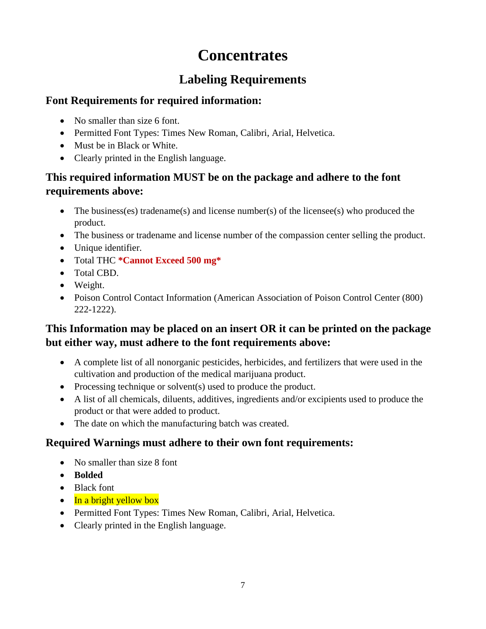## **Concentrates**

### **Labeling Requirements**

#### **Font Requirements for required information:**

- No smaller than size 6 font.
- Permitted Font Types: Times New Roman, Calibri, Arial, Helvetica.
- Must be in Black or White.
- Clearly printed in the English language.

#### **This required information MUST be on the package and adhere to the font requirements above:**

- The business(es) tradename(s) and license number(s) of the licensee(s) who produced the product.
- The business or tradename and license number of the compassion center selling the product.
- Unique identifier.
- Total THC **\*Cannot Exceed 500 mg\***
- Total CBD.
- Weight.
- Poison Control Contact Information (American Association of Poison Control Center (800) 222-1222).

#### **This Information may be placed on an insert OR it can be printed on the package but either way, must adhere to the font requirements above:**

- A complete list of all nonorganic pesticides, herbicides, and fertilizers that were used in the cultivation and production of the medical marijuana product.
- Processing technique or solvent(s) used to produce the product.
- A list of all chemicals, diluents, additives, ingredients and/or excipients used to produce the product or that were added to product.
- The date on which the manufacturing batch was created.

#### **Required Warnings must adhere to their own font requirements:**

- No smaller than size 8 font
- **Bolded**
- Black font
- $\bullet$  In a bright yellow box
- Permitted Font Types: Times New Roman, Calibri, Arial, Helvetica.
- Clearly printed in the English language.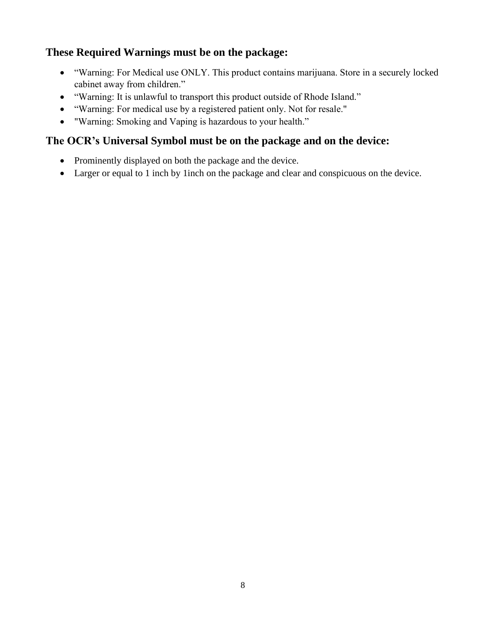#### **These Required Warnings must be on the package:**

- "Warning: For Medical use ONLY. This product contains marijuana. Store in a securely locked cabinet away from children."
- "Warning: It is unlawful to transport this product outside of Rhode Island."
- "Warning: For medical use by a registered patient only. Not for resale."
- "Warning: Smoking and Vaping is hazardous to your health."

#### **The OCR's Universal Symbol must be on the package and on the device:**

- Prominently displayed on both the package and the device.
- Larger or equal to 1 inch by 1 inch on the package and clear and conspicuous on the device.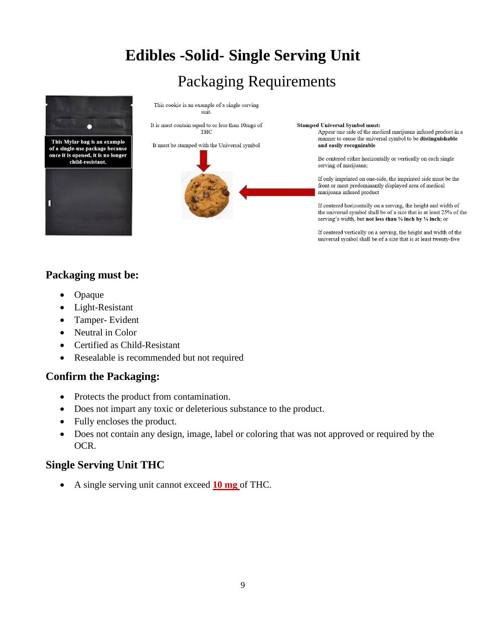# **Edibles -Solid- Single Serving Unit**

## Packaging Requirements



This Mylar bag is an example of a single-use package because once it is opened, it is no longer child-resistant.



This cookie is an example of a single serving unit.

It is must contain equal to or less than 10mgs of **THC** 

It must be stamped with the Universal symbol



**Stamped Universal Symbol must:** 

Appear one side of the medical marijuana infused product in a manner to cause the universal symbol to be distinguishable and easily recognizable

Be centered either horizontally or vertically on each single serving of marijuana;

If only imprinted on one-side, the imprinted side must be the front or most predominantly displayed area of medical marijuana infused product

If centered horizontally on a serving, the height and width of the universal symbol shall be of a size that is at least 25% of the serving's width, but not less than 1/4 inch by 1/4 inch; or

If centered vertically on a serving, the height and width of the universal symbol shall be of a size that is at least twenty-five

#### **Packaging must be:**

- Opaque
- Light-Resistant
- Tamper- Evident
- Neutral in Color
- Certified as Child-Resistant
- Resealable is recommended but not required

#### **Confirm the Packaging:**

- Protects the product from contamination.
- Does not impart any toxic or deleterious substance to the product.
- Fully encloses the product.
- Does not contain any design, image, label or coloring that was not approved or required by the OCR.

#### **Single Serving Unit THC**

• A single serving unit cannot exceed **10 mg** of THC.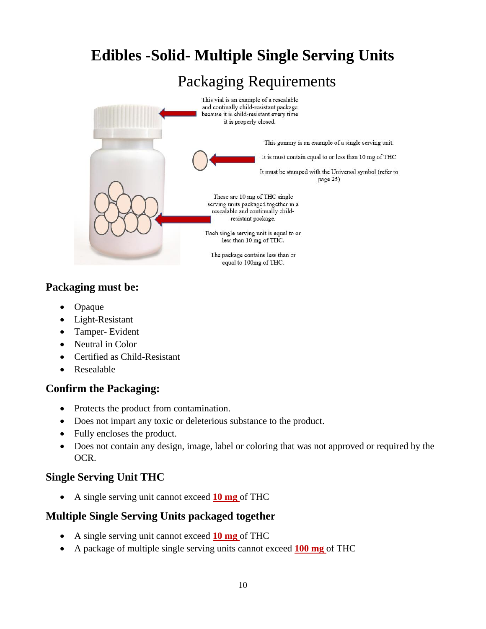

#### **Packaging must be:**

- Opaque
- Light-Resistant
- Tamper- Evident
- Neutral in Color
- Certified as Child-Resistant
- Resealable

#### **Confirm the Packaging:**

- Protects the product from contamination.
- Does not impart any toxic or deleterious substance to the product.
- Fully encloses the product.
- Does not contain any design, image, label or coloring that was not approved or required by the OCR.

#### **Single Serving Unit THC**

• A single serving unit cannot exceed **10 mg** of THC

#### **Multiple Single Serving Units packaged together**

- A single serving unit cannot exceed **10 mg** of THC
- A package of multiple single serving units cannot exceed **100 mg** of THC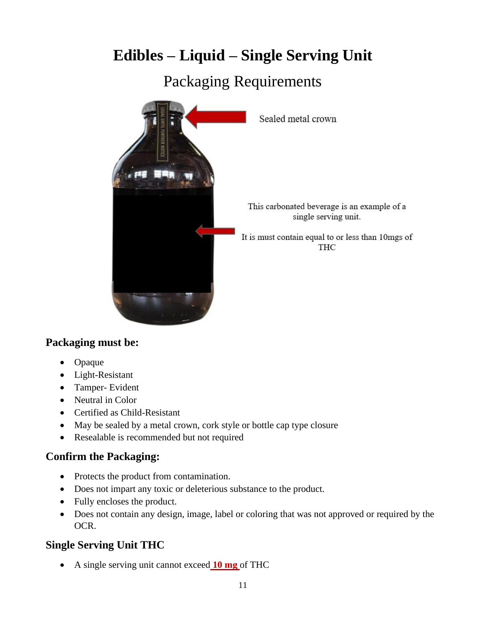# **Edibles – Liquid – Single Serving Unit**

## Packaging Requirements



#### **Packaging must be:**

- Opaque
- Light-Resistant
- Tamper- Evident
- Neutral in Color
- Certified as Child-Resistant
- May be sealed by a metal crown, cork style or bottle cap type closure
- Resealable is recommended but not required

#### **Confirm the Packaging:**

- Protects the product from contamination.
- Does not impart any toxic or deleterious substance to the product.
- Fully encloses the product.
- Does not contain any design, image, label or coloring that was not approved or required by the OCR.

#### **Single Serving Unit THC**

• A single serving unit cannot exceed **10 mg** of THC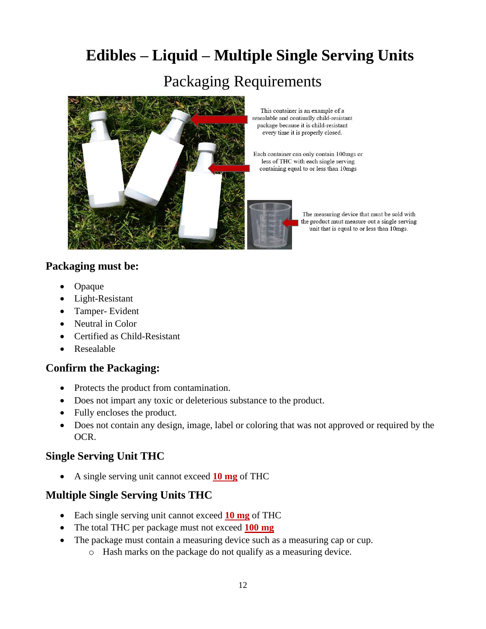## **Edibles – Liquid – Multiple Single Serving Units**

## Packaging Requirements



This container is an example of a resealable and contiually child-resistant package because it is child-resistant every time it is properly closed.

Each container can only contain 100mgs or less of THC with each single serving containing equal to or less than 10mgs



#### **Packaging must be:**

- Opaque
- Light-Resistant
- Tamper- Evident
- Neutral in Color
- Certified as Child-Resistant
- Resealable

#### **Confirm the Packaging:**

- Protects the product from contamination.
- Does not impart any toxic or deleterious substance to the product.
- Fully encloses the product.
- Does not contain any design, image, label or coloring that was not approved or required by the OCR.

#### **Single Serving Unit THC**

• A single serving unit cannot exceed **10 mg** of THC

#### **Multiple Single Serving Units THC**

- Each single serving unit cannot exceed **10 mg** of THC
- The total THC per package must not exceed **100 mg**
- The package must contain a measuring device such as a measuring cap or cup.
	- o Hash marks on the package do not qualify as a measuring device.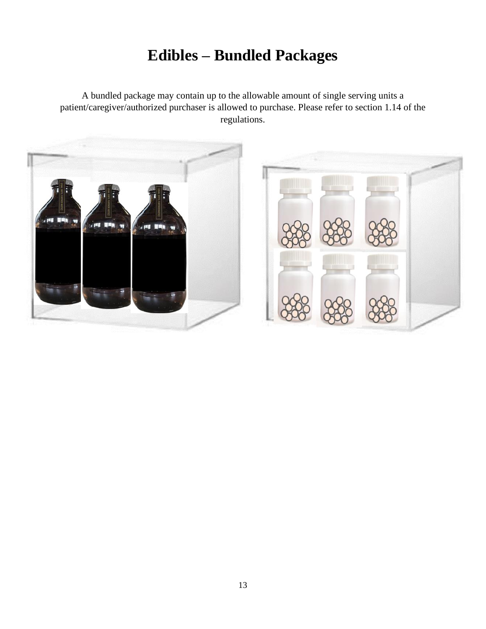# **Edibles – Bundled Packages**

A bundled package may contain up to the allowable amount of single serving units a patient/caregiver/authorized purchaser is allowed to purchase. Please refer to section 1.14 of the regulations.

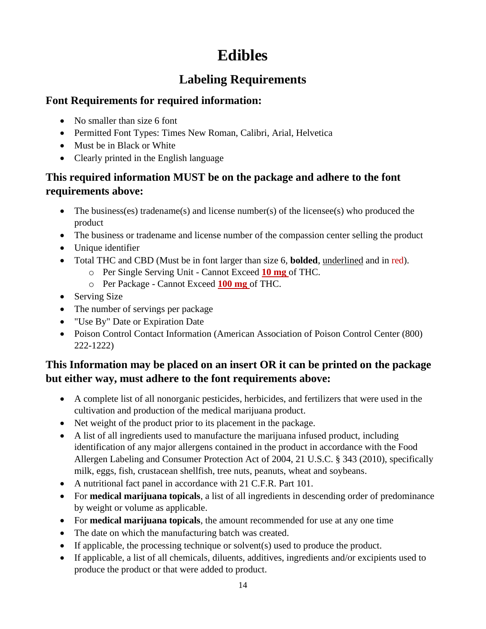# **Edibles**

### **Labeling Requirements**

#### **Font Requirements for required information:**

- No smaller than size 6 font
- Permitted Font Types: Times New Roman, Calibri, Arial, Helvetica
- Must be in Black or White
- Clearly printed in the English language

#### **This required information MUST be on the package and adhere to the font requirements above:**

- The business(es) tradename(s) and license number(s) of the licensee(s) who produced the product
- The business or tradename and license number of the compassion center selling the product
- Unique identifier
- Total THC and CBD (Must be in font larger than size 6, **bolded**, underlined and in red).
	- o Per Single Serving Unit Cannot Exceed **10 mg** of THC.
	- o Per Package Cannot Exceed **100 mg** of THC.
- Serving Size
- The number of servings per package
- "Use By" Date or Expiration Date
- Poison Control Contact Information (American Association of Poison Control Center (800) 222-1222)

#### **This Information may be placed on an insert OR it can be printed on the package but either way, must adhere to the font requirements above:**

- A complete list of all nonorganic pesticides, herbicides, and fertilizers that were used in the cultivation and production of the medical marijuana product.
- Net weight of the product prior to its placement in the package.
- A list of all ingredients used to manufacture the marijuana infused product, including identification of any major allergens contained in the product in accordance with the Food Allergen Labeling and Consumer Protection Act of 2004, 21 U.S.C. § 343 (2010), specifically milk, eggs, fish, crustacean shellfish, tree nuts, peanuts, wheat and soybeans.
- A nutritional fact panel in accordance with 21 C.F.R. Part 101.
- For **medical marijuana topicals**, a list of all ingredients in descending order of predominance by weight or volume as applicable.
- For **medical marijuana topicals**, the amount recommended for use at any one time
- The date on which the manufacturing batch was created.
- If applicable, the processing technique or solvent(s) used to produce the product.
- If applicable, a list of all chemicals, diluents, additives, ingredients and/or excipients used to produce the product or that were added to product.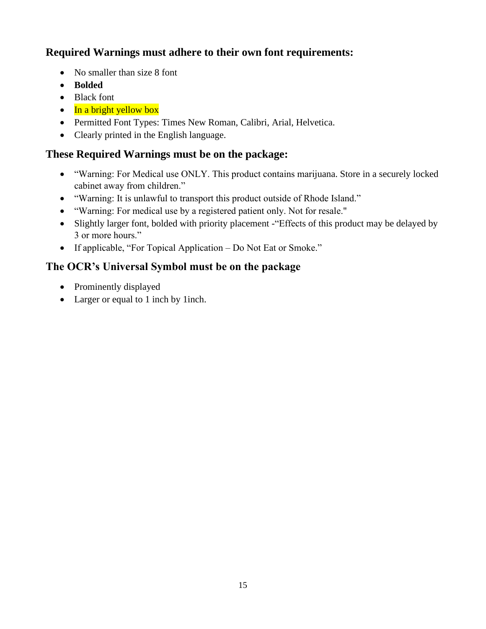#### **Required Warnings must adhere to their own font requirements:**

- No smaller than size 8 font
- **Bolded**
- Black font
- $\bullet$  In a bright yellow box
- Permitted Font Types: Times New Roman, Calibri, Arial, Helvetica.
- Clearly printed in the English language.

### **These Required Warnings must be on the package:**

- "Warning: For Medical use ONLY. This product contains marijuana. Store in a securely locked cabinet away from children."
- "Warning: It is unlawful to transport this product outside of Rhode Island."
- "Warning: For medical use by a registered patient only. Not for resale."
- Slightly larger font, bolded with priority placement "Effects of this product may be delayed by 3 or more hours."
- If applicable, "For Topical Application Do Not Eat or Smoke."

### **The OCR's Universal Symbol must be on the package**

- Prominently displayed
- Larger or equal to 1 inch by 1 inch.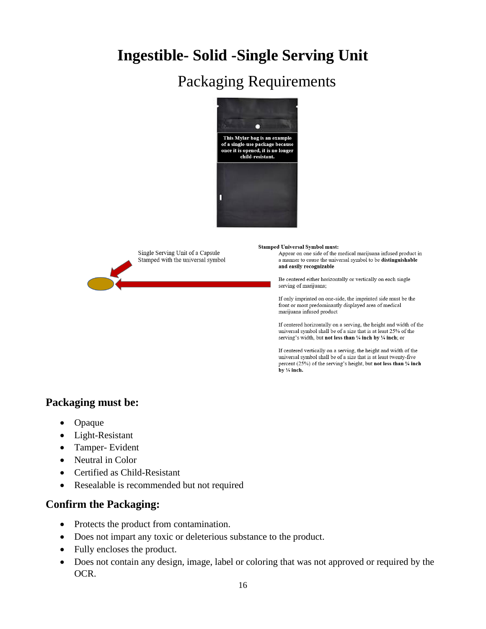## **Ingestible- Solid -Single Serving Unit**

## Packaging Requirements





**Stamped Universal Symbol must:** 

Appear on one side of the medical marijuana infused product in a manner to cause the universal symbol to be distinguishable and easily recognizable

Be centered either horizontally or vertically on each single serving of marijuana;

If only imprinted on one-side, the imprinted side must be the front or most predominantly displayed area of medical marijuana infused product

If centered horizontally on a serving, the height and width of the universal symbol shall be of a size that is at least 25% of the serving's width, but not less than 1/4 inch by 1/4 inch; or

If centered vertically on a serving, the height and width of the universal symbol shall be of a size that is at least twenty-five percent (25%) of the serving's height, but not less than 1/4 inch by  $\frac{1}{4}$  inch.

#### **Packaging must be:**

- Opaque
- Light-Resistant
- Tamper- Evident
- Neutral in Color
- Certified as Child-Resistant
- Resealable is recommended but not required

- Protects the product from contamination.
- Does not impart any toxic or deleterious substance to the product.
- Fully encloses the product.
- Does not contain any design, image, label or coloring that was not approved or required by the OCR.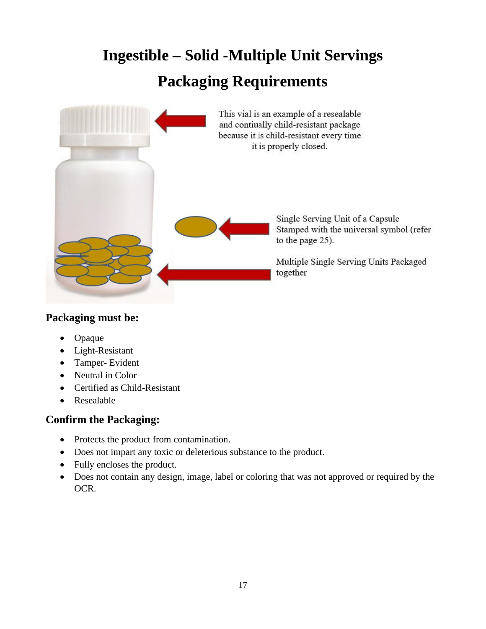# **Ingestible – Solid -Multiple Unit Servings Packaging Requirements**



#### **Packaging must be:**

- Opaque
- Light-Resistant
- Tamper- Evident
- Neutral in Color
- Certified as Child-Resistant
- Resealable

- Protects the product from contamination.
- Does not impart any toxic or deleterious substance to the product.
- Fully encloses the product.
- Does not contain any design, image, label or coloring that was not approved or required by the OCR.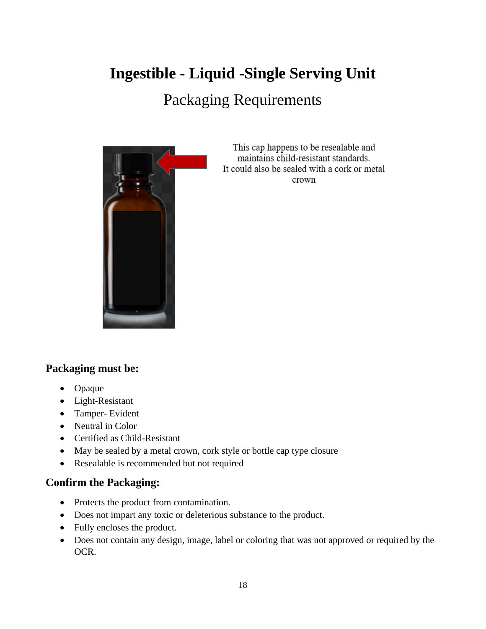# **Ingestible - Liquid -Single Serving Unit**

## Packaging Requirements



This cap happens to be resealable and maintains child-resistant standards. It could also be sealed with a cork or metal crown

#### **Packaging must be:**

- Opaque
- Light-Resistant
- Tamper- Evident
- Neutral in Color
- Certified as Child-Resistant
- May be sealed by a metal crown, cork style or bottle cap type closure
- Resealable is recommended but not required

- Protects the product from contamination.
- Does not impart any toxic or deleterious substance to the product.
- Fully encloses the product.
- Does not contain any design, image, label or coloring that was not approved or required by the OCR.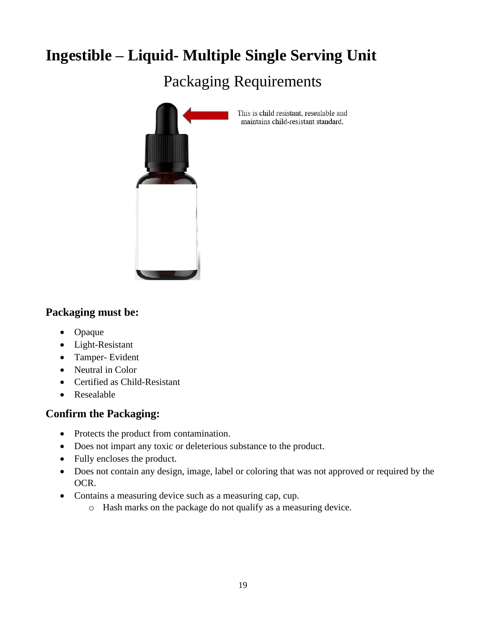# **Ingestible – Liquid- Multiple Single Serving Unit**

Packaging Requirements



This is child resistant, resealable and maintains child-resistant standard,

#### **Packaging must be:**

- Opaque
- Light-Resistant
- Tamper- Evident
- Neutral in Color
- Certified as Child-Resistant
- Resealable

- Protects the product from contamination.
- Does not impart any toxic or deleterious substance to the product.
- Fully encloses the product.
- Does not contain any design, image, label or coloring that was not approved or required by the OCR.
- Contains a measuring device such as a measuring cap, cup.
	- o Hash marks on the package do not qualify as a measuring device.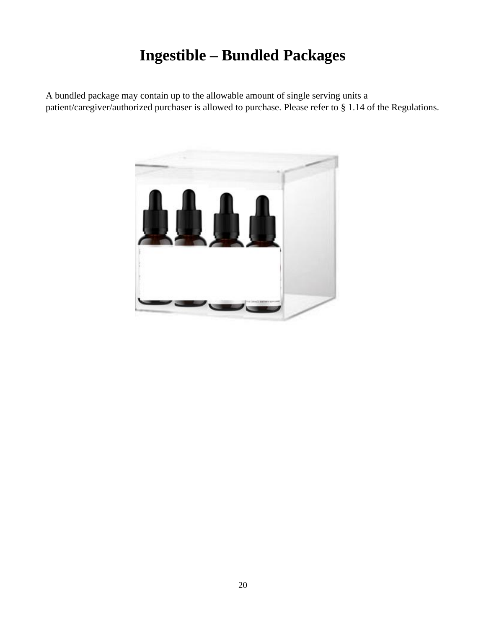# **Ingestible – Bundled Packages**

A bundled package may contain up to the allowable amount of single serving units a patient/caregiver/authorized purchaser is allowed to purchase. Please refer to § 1.14 of the Regulations.

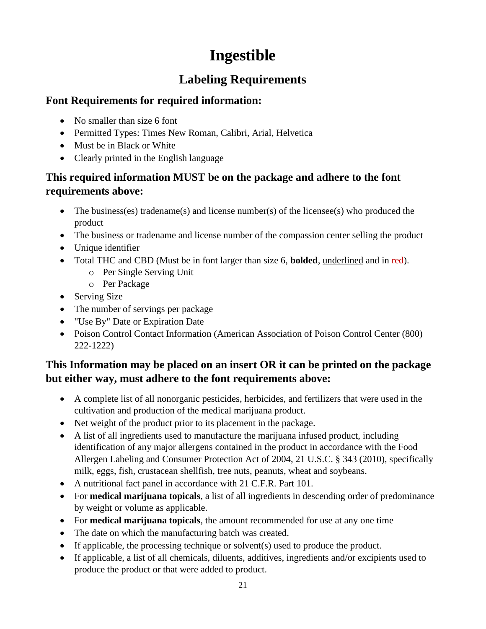# **Ingestible**

### **Labeling Requirements**

#### **Font Requirements for required information:**

- No smaller than size 6 font
- Permitted Types: Times New Roman, Calibri, Arial, Helvetica
- Must be in Black or White
- Clearly printed in the English language

#### **This required information MUST be on the package and adhere to the font requirements above:**

- The business(es) tradename(s) and license number(s) of the licensee(s) who produced the product
- The business or tradename and license number of the compassion center selling the product
- Unique identifier
- Total THC and CBD (Must be in font larger than size 6, **bolded**, underlined and in red).
	- o Per Single Serving Unit
	- o Per Package
- Serving Size
- The number of servings per package
- "Use By" Date or Expiration Date
- Poison Control Contact Information (American Association of Poison Control Center (800) 222-1222)

#### **This Information may be placed on an insert OR it can be printed on the package but either way, must adhere to the font requirements above:**

- A complete list of all nonorganic pesticides, herbicides, and fertilizers that were used in the cultivation and production of the medical marijuana product.
- Net weight of the product prior to its placement in the package.
- A list of all ingredients used to manufacture the marijuana infused product, including identification of any major allergens contained in the product in accordance with the Food Allergen Labeling and Consumer Protection Act of 2004, 21 U.S.C. § 343 (2010), specifically milk, eggs, fish, crustacean shellfish, tree nuts, peanuts, wheat and soybeans.
- A nutritional fact panel in accordance with 21 C.F.R. Part 101.
- For **medical marijuana topicals**, a list of all ingredients in descending order of predominance by weight or volume as applicable.
- For **medical marijuana topicals**, the amount recommended for use at any one time
- The date on which the manufacturing batch was created.
- If applicable, the processing technique or solvent(s) used to produce the product.
- If applicable, a list of all chemicals, diluents, additives, ingredients and/or excipients used to produce the product or that were added to product.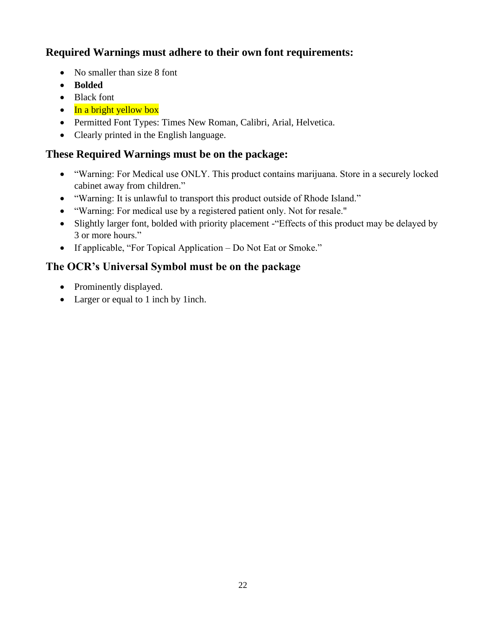#### **Required Warnings must adhere to their own font requirements:**

- No smaller than size 8 font
- **Bolded**
- Black font
- $\bullet$  In a bright yellow box
- Permitted Font Types: Times New Roman, Calibri, Arial, Helvetica.
- Clearly printed in the English language.

### **These Required Warnings must be on the package:**

- "Warning: For Medical use ONLY. This product contains marijuana. Store in a securely locked cabinet away from children."
- "Warning: It is unlawful to transport this product outside of Rhode Island."
- "Warning: For medical use by a registered patient only. Not for resale."
- Slightly larger font, bolded with priority placement "Effects of this product may be delayed by 3 or more hours."
- If applicable, "For Topical Application Do Not Eat or Smoke."

### **The OCR's Universal Symbol must be on the package**

- Prominently displayed.
- Larger or equal to 1 inch by 1 inch.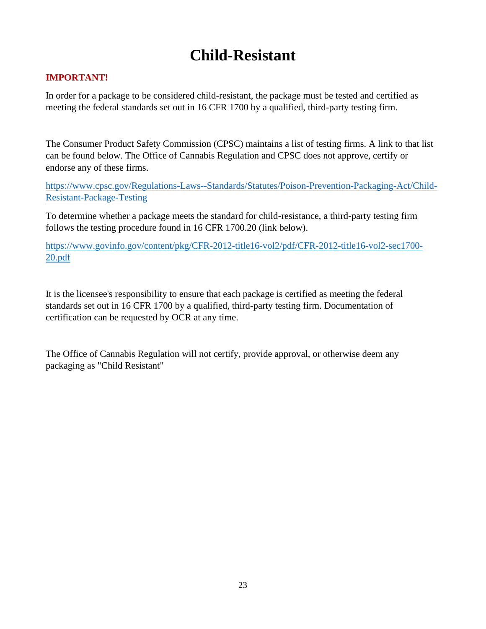## **Child-Resistant**

#### **IMPORTANT!**

In order for a package to be considered child-resistant, the package must be tested and certified as meeting the federal standards set out in 16 CFR 1700 by a qualified, third-party testing firm.

The Consumer Product Safety Commission (CPSC) maintains a list of testing firms. A link to that list can be found below. The Office of Cannabis Regulation and CPSC does not approve, certify or endorse any of these firms.

[https://www.cpsc.gov/Regulations-Laws--Standards/Statutes/Poison-Prevention-Packaging-Act/Child-](https://www.cpsc.gov/Regulations-Laws--Standards/Statutes/Poison-Prevention-Packaging-Act/Child-Resistant-Package-Testing)[Resistant-Package-Testing](https://www.cpsc.gov/Regulations-Laws--Standards/Statutes/Poison-Prevention-Packaging-Act/Child-Resistant-Package-Testing)

To determine whether a package meets the standard for child-resistance, a third-party testing firm follows the testing procedure found in 16 CFR 1700.20 (link below).

[https://www.govinfo.gov/content/pkg/CFR-2012-title16-vol2/pdf/CFR-2012-title16-vol2-sec1700-](https://www.govinfo.gov/content/pkg/CFR-2012-title16-vol2/pdf/CFR-2012-title16-vol2-sec1700-20.pdf) [20.pdf](https://www.govinfo.gov/content/pkg/CFR-2012-title16-vol2/pdf/CFR-2012-title16-vol2-sec1700-20.pdf)

It is the licensee's responsibility to ensure that each package is certified as meeting the federal standards set out in 16 CFR 1700 by a qualified, third-party testing firm. Documentation of certification can be requested by OCR at any time.

The Office of Cannabis Regulation will not certify, provide approval, or otherwise deem any packaging as "Child Resistant"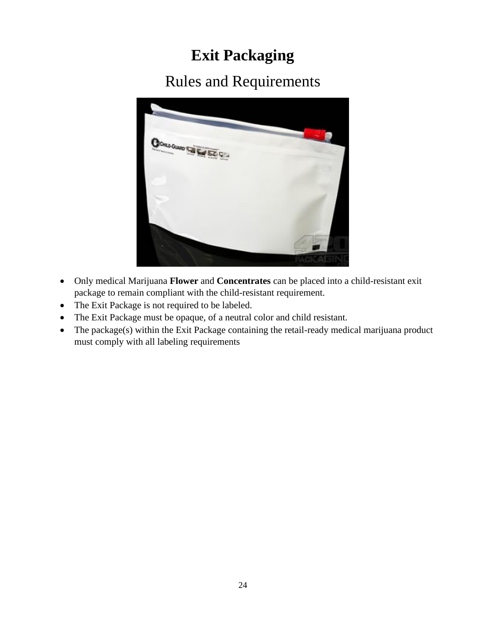# **Exit Packaging**

## Rules and Requirements



- Only medical Marijuana **Flower** and **Concentrates** can be placed into a child-resistant exit package to remain compliant with the child-resistant requirement.
- The Exit Package is not required to be labeled.
- The Exit Package must be opaque, of a neutral color and child resistant.
- The package(s) within the Exit Package containing the retail-ready medical marijuana product must comply with all labeling requirements